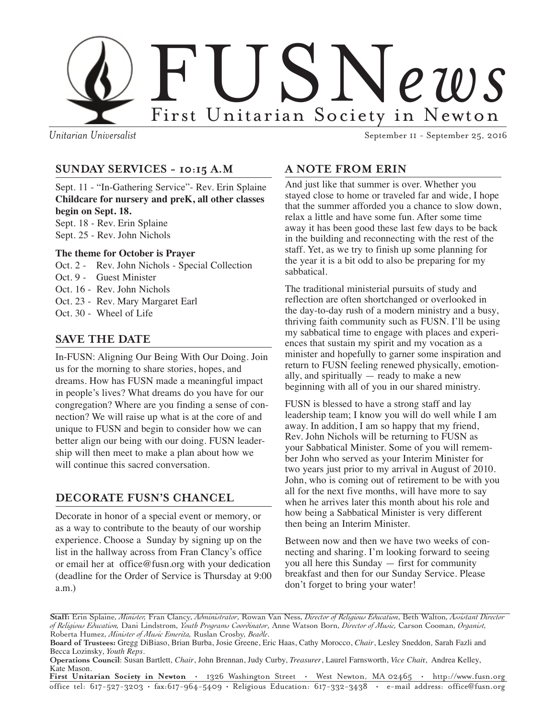

*Unitarian Universalist* September 11 - September 25, 2016

# **SUNDAY SERVICES - 10:15 A.M**

Sept. 11 - "In-Gathering Service"- Rev. Erin Splaine **Childcare for nursery and preK, all other classes begin on Sept. 18.**

Sept. 18 - Rev. Erin Splaine Sept. 25 - Rev. John Nichols

#### **The theme for October is Prayer**

- Oct. 2 Rev. John Nichols Special Collection
- Oct. 9 Guest Minister
- Oct. 16 Rev. John Nichols
- Oct. 23 Rev. Mary Margaret Earl
- Oct. 30 Wheel of Life

## **SAVE THE DATE**

In-FUSN: Aligning Our Being With Our Doing. Join us for the morning to share stories, hopes, and dreams. How has FUSN made a meaningful impact in people's lives? What dreams do you have for our congregation? Where are you finding a sense of connection? We will raise up what is at the core of and unique to FUSN and begin to consider how we can better align our being with our doing. FUSN leadership will then meet to make a plan about how we will continue this sacred conversation.

## **DECORATE FUSN'S CHANCEL**

Decorate in honor of a special event or memory, or as a way to contribute to the beauty of our worship experience. Choose a Sunday by signing up on the list in the hallway across from Fran Clancy's office or email her at office@fusn.org with your dedication (deadline for the Order of Service is Thursday at 9:00 a.m.)

## **A NOTE FROM ERIN**

And just like that summer is over. Whether you stayed close to home or traveled far and wide, I hope that the summer afforded you a chance to slow down, relax a little and have some fun. After some time away it has been good these last few days to be back in the building and reconnecting with the rest of the staff. Yet, as we try to finish up some planning for the year it is a bit odd to also be preparing for my sabbatical.

The traditional ministerial pursuits of study and reflection are often shortchanged or overlooked in the day-to-day rush of a modern ministry and a busy, thriving faith community such as FUSN. I'll be using my sabbatical time to engage with places and experiences that sustain my spirit and my vocation as a minister and hopefully to garner some inspiration and return to FUSN feeling renewed physically, emotionally, and spiritually — ready to make a new beginning with all of you in our shared ministry.

FUSN is blessed to have a strong staff and lay leadership team; I know you will do well while I am away. In addition, I am so happy that my friend, Rev. John Nichols will be returning to FUSN as your Sabbatical Minister. Some of you will remember John who served as your Interim Minister for two years just prior to my arrival in August of 2010. John, who is coming out of retirement to be with you all for the next five months, will have more to say when he arrives later this month about his role and how being a Sabbatical Minister is very different then being an Interim Minister.

Between now and then we have two weeks of connecting and sharing. I'm looking forward to seeing you all here this Sunday — first for community breakfast and then for our Sunday Service. Please don't forget to bring your water!

**First Unitarian Society in Newton** • 1326 Washington Street • West Newton, MA 02465 • http://www.fusn.org office tel: 617-527-3203 • fax:617-964-5409 • Religious Education: 617-332-3438 • e-mail address: office@fusn.org

**Staff:** Erin Splaine, *Minister,* Fran Clancy, *Administrator*, Rowan Van Ness, *Director of Religious Education*, Beth Walton, *Assistant Director of Religious Education,* Dani Lindstrom, *Youth Programs Coordinator*, Anne Watson Born, *Director of Music,* Carson Cooman, *Organist,* Roberta Humez, *Minister of Music Emerita,* Ruslan Crosby, *Beadle*.

**Board of Trustees:** Gregg DiBiaso, Brian Burba, Josie Greene, Eric Haas, Cathy Morocco, *Chair*, Lesley Sneddon*,* Sarah Fazli and Becca Lozinsky, *Youth Reps.*

**Operations Council**: Susan Bartlett*, Chair*, John Brennan, Judy Curby, *Treasurer*, Laurel Farnsworth, *Vice Chai*r, Andrea Kelley, Kate Mason.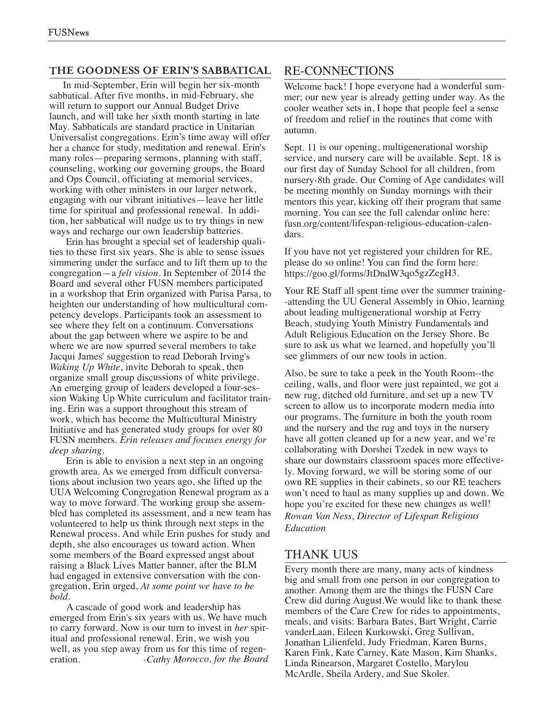#### **THE GOODNESS OF ERIN'S SABBATICAL**

In mid-September, Erin will begin her six-month sabbatical. After five months, in mid-February, she will return to suppor<sup>t</sup> our Annual Budget Drive launch, and will take her sixth month starting in late May. Sabbaticals are standard practice in Unitarian Universalist congregations. Erin's time away will offer her <sup>a</sup> chance for study, meditation and renewal. Erin's many roles—preparing sermons, planning with staff, counseling, working our governing groups, the Board and Ops Council, officiating at memorial services, working with other ministers in our larger network, engaging with our vibrant initiatives—leave her little time for spiritual and professional renewal. In addition, her sabbatical will nudge us to try things in new ways and recharge our own leadership batteries.

Erin has brought <sup>a</sup> special set of leadership qualities to these first six years. She is able to sense issues simmering under the surface and to lift them up to the congregation—a *felt vision*. In September of 2014 the Board and several other FUSN members participated in <sup>a</sup> workshop that Erin organized with Parisa Parsa, to heighten our understanding of how multicultural competency develops. Participants took an assessment to see where they felt on <sup>a</sup> continuum. Conversations about the gap between where we aspire to be and where we are now spurred several members to take Jacqui James' suggestion to read Deborah Irving's *Waking Up White*, invite Deborah to speak, then organize small group discussions of white privilege. An emerging group of leaders developed <sup>a</sup> four-session Waking Up White curriculum and facilitator training. Erin was <sup>a</sup> suppor<sup>t</sup> throughout this stream of work, which has become the Multicultural Ministry Initiative and has generated study groups for over 80 FUSN members. *Erin releases and focuses energy for deep sharing.*

Erin is able to envision <sup>a</sup> next step in an ongoing growth area. As we emerged from difficult conversations about inclusion two years ago, she lifted up the UUA Welcoming Congregation Renewal program as <sup>a</sup> way to move forward. The working group she assembled has completed its assessment, and <sup>a</sup> new team has volunteered to help us think through next steps in the Renewal process. And while Erin pushes for study and depth, she also encourages us toward action. When some members of the Board expressed angs<sup>t</sup> about raising <sup>a</sup> Black Lives Matter banner, after the BLM had engaged in extensive conversation with the congregation, Erin urged, *At some point we have to be bold.*

A cascade of good work and leadership has emerged from Erin's six years with us. We have much to carry forward. Now is our turn to invest in *her* spiritual and professional renewal. Erin, we wish you well, as you step away from us for this time of regeneration. *-Cathy Morocco, for the Board*

## RE-CONNECTIONS

Welcome back! I hope everyone had <sup>a</sup> wonderful summer; our new year is already getting under way. As the cooler weather sets in, I hope that people feel <sup>a</sup> sense of freedom and relief in the routines that come with autumn.

Sept. 11 is our opening, multigenerational worship service, and nursery care will be available. Sept. 18 is our first day of Sunday School for all children, from nursery-8th grade. Our Coming of Age candidates will be meeting monthly on Sunday mornings with their mentors this year, kicking off their program that same morning. You can see the full calendar online here: fusn.org/content/lifespan-religious-education-calendars.

If you have not ye<sup>t</sup> registered your children for RE, please do so online! You can find the form here: https://goo.gl/forms/JtDndW3qo5gzZegH3.

Your RE Staff all spen<sup>t</sup> time over the summer training- -attending the UU General Assembly in Ohio, learning about leading multigenerational worship at Ferry Beach, studying Youth Ministry Fundamentals and Adult Religious Education on the Jersey Shore. Be sure to ask us what we learned, and hopefully you'll see glimmers of our new tools in action.

Also, be sure to take <sup>a</sup> peek in the Youth Room--the ceiling, walls, and floor were just repainted, we go<sup>t</sup> <sup>a</sup> new rug, ditched old furniture, and set up <sup>a</sup> new TV screen to allow us to incorporate modern media into our programs. The furniture in both the youth room and the nursery and the rug and toys in the nursery have all gotten cleaned up for <sup>a</sup> new year, and we're collaborating with Dorshei Tzedek in new ways to share our downstairs classroom spaces more effectively. Moving forward, we will be storing some of our own RE supplies in their cabinets, so our RE teachers won't need to haul as many supplies up and down. We hope you're excited for these new changes as well! *Rowan Van Ness, Director of Lifespan Religious Education*

## THANK UUS

Every month there are many, many acts of kindness big and small from one person in our congregation to another. Among them are the things the FUSN Care Crew did during August.We would like to thank these members of the Care Crew for rides to appointments, meals, and visits: Barbara Bates, Bart Wright, Carrie vanderLaan, Eileen Kurkowski, Greg Sullivan, Jonathan Lilienfeld, Judy Friedman, Karen Burns, Karen Fink, Kate Carney, Kate Mason, Kim Shanks, Linda Rinearson, Margaret Costello, Marylou McArdle, Sheila Ardery, and Sue Skoler.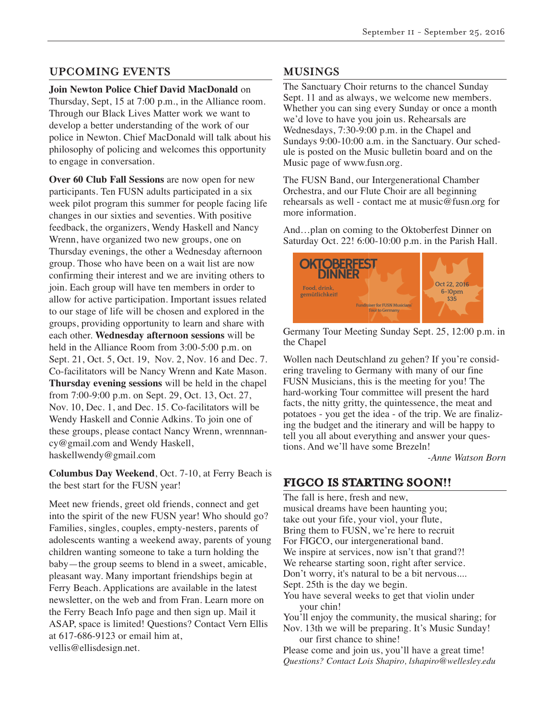## **UPCOMING EVENTS**

**Join Newton Police Chief David MacDonald** on Thursday, Sept, 15 at 7:00 p.m., in the Alliance room. Through our Black Lives Matter work we want to develop a better understanding of the work of our police in Newton. Chief MacDonald will talk about his philosophy of policing and welcomes this opportunity to engage in conversation.

**Over 60 Club Fall Sessions** are now open for new participants. Ten FUSN adults participated in a six week pilot program this summer for people facing life changes in our sixties and seventies. With positive feedback, the organizers, Wendy Haskell and Nancy Wrenn, have organized two new groups, one on Thursday evenings, the other a Wednesday afternoon group. Those who have been on a wait list are now confirming their interest and we are inviting others to join. Each group will have ten members in order to allow for active participation. Important issues related to our stage of life will be chosen and explored in the groups, providing opportunity to learn and share with each other. **Wednesday afternoon sessions** will be held in the Alliance Room from 3:00-5:00 p.m. on Sept. 21, Oct. 5, Oct. 19, Nov. 2, Nov. 16 and Dec. 7. Co-facilitators will be Nancy Wrenn and Kate Mason. **Thursday evening sessions** will be held in the chapel from 7:00-9:00 p.m. on Sept. 29, Oct. 13, Oct. 27, Nov. 10, Dec. 1, and Dec. 15. Co-facilitators will be Wendy Haskell and Connie Adkins. To join one of these groups, please contact Nancy Wrenn, wrennnancy@gmail.com and Wendy Haskell, haskellwendy@gmail.com

**Columbus Day Weekend**, Oct. 7-10, at Ferry Beach is the best start for the FUSN year!

Meet new friends, greet old friends, connect and get into the spirit of the new FUSN year! Who should go? Families, singles, couples, empty-nesters, parents of adolescents wanting a weekend away, parents of young children wanting someone to take a turn holding the baby—the group seems to blend in a sweet, amicable, pleasant way. Many important friendships begin at Ferry Beach. Applications are available in the latest newsletter, on the web and from Fran. Learn more on the Ferry Beach Info page and then sign up. Mail it ASAP, space is limited! Questions? Contact Vern Ellis at 617-686-9123 or email him at, vellis@ellisdesign.net.

# **MUSINGS**

The Sanctuary Choir returns to the chancel Sunday Sept. 11 and as always, we welcome new members. Whether you can sing every Sunday or once a month we'd love to have you join us. Rehearsals are Wednesdays, 7:30-9:00 p.m. in the Chapel and Sundays 9:00-10:00 a.m. in the Sanctuary. Our schedule is posted on the Music bulletin board and on the Music page of www.fusn.org.

The FUSN Band, our Intergenerational Chamber Orchestra, and our Flute Choir are all beginning rehearsals as well - contact me at music@fusn.org for more information.

And…plan on coming to the Oktoberfest Dinner on Saturday Oct. 22! 6:00-10:00 p.m. in the Parish Hall.



Germany Tour Meeting Sunday Sept. 25, 12:00 p.m. in the Chapel

Wollen nach Deutschland zu gehen? If you're considering traveling to Germany with many of our fine FUSN Musicians, this is the meeting for you! The hard-working Tour committee will present the hard facts, the nitty gritty, the quintessence, the meat and potatoes - you get the idea - of the trip. We are finalizing the budget and the itinerary and will be happy to tell you all about everything and answer your questions. And we'll have some Brezeln!

*-Anne Watson Born*

## **FIGCO IS STARTING SOON!!**

The fall is here, fresh and new, musical dreams have been haunting you; take out your fife, your viol, your flute, Bring them to FUSN, we're here to recruit For FIGCO, our intergenerational band. We inspire at services, now isn't that grand?! We rehearse starting soon, right after service. Don't worry, it's natural to be a bit nervous.... Sept. 25th is the day we begin. You have several weeks to get that violin under your chin! You'll enjoy the community, the musical sharing; for Nov. 13th we will be preparing. It's Music Sunday! our first chance to shine! Please come and join us, you'll have a great time! *Questions? Contact Lois Shapiro, lshapiro@wellesley.edu*